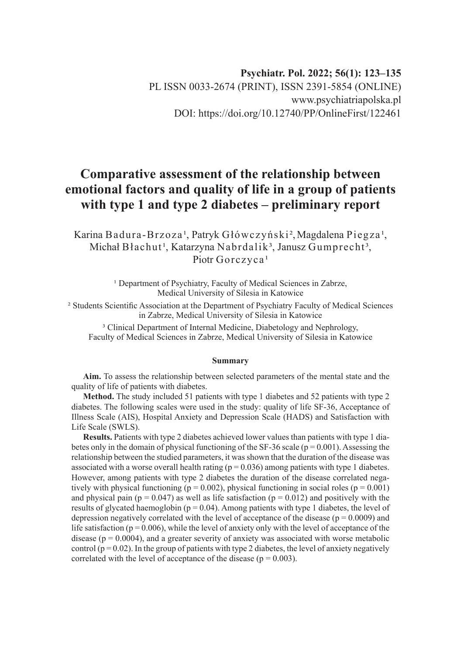# **Comparative assessment of the relationship between emotional factors and quality of life in a group of patients with type 1 and type 2 diabetes – preliminary report**

Karina Badura-Brzoza<sup>1</sup>, Patryk Główczyński<sup>2</sup>, Magdalena Piegza<sup>1</sup>, Michał Błachut<sup>1</sup>, Katarzyna Nabrdalik<sup>3</sup>, Janusz Gumprecht<sup>3</sup>, Piotr Gorczyca<sup>1</sup>

> <sup>1</sup> Department of Psychiatry, Faculty of Medical Sciences in Zabrze, Medical University of Silesia in Katowice

² Students Scientific Association at the Department of Psychiatry Faculty of Medical Sciences in Zabrze, Medical University of Silesia in Katowice

<sup>3</sup> Clinical Department of Internal Medicine, Diabetology and Nephrology, Faculty of Medical Sciences in Zabrze, Medical University of Silesia in Katowice

#### **Summary**

**Aim.** To assess the relationship between selected parameters of the mental state and the quality of life of patients with diabetes.

**Method.** The study included 51 patients with type 1 diabetes and 52 patients with type 2 diabetes. The following scales were used in the study: quality of life SF-36, Acceptance of Illness Scale (AIS), Hospital Anxiety and Depression Scale (HADS) and Satisfaction with Life Scale (SWLS).

**Results.** Patients with type 2 diabetes achieved lower values than patients with type 1 diabetes only in the domain of physical functioning of the SF-36 scale ( $p = 0.001$ ). Assessing the relationship between the studied parameters, it was shown that the duration of the disease was associated with a worse overall health rating ( $p = 0.036$ ) among patients with type 1 diabetes. However, among patients with type 2 diabetes the duration of the disease correlated negatively with physical functioning ( $p = 0.002$ ), physical functioning in social roles ( $p = 0.001$ ) and physical pain ( $p = 0.047$ ) as well as life satisfaction ( $p = 0.012$ ) and positively with the results of glycated haemoglobin ( $p = 0.04$ ). Among patients with type 1 diabetes, the level of depression negatively correlated with the level of acceptance of the disease ( $p = 0.0009$ ) and life satisfaction ( $p = 0.006$ ), while the level of anxiety only with the level of acceptance of the disease ( $p = 0.0004$ ), and a greater severity of anxiety was associated with worse metabolic control ( $p = 0.02$ ). In the group of patients with type 2 diabetes, the level of anxiety negatively correlated with the level of acceptance of the disease ( $p = 0.003$ ).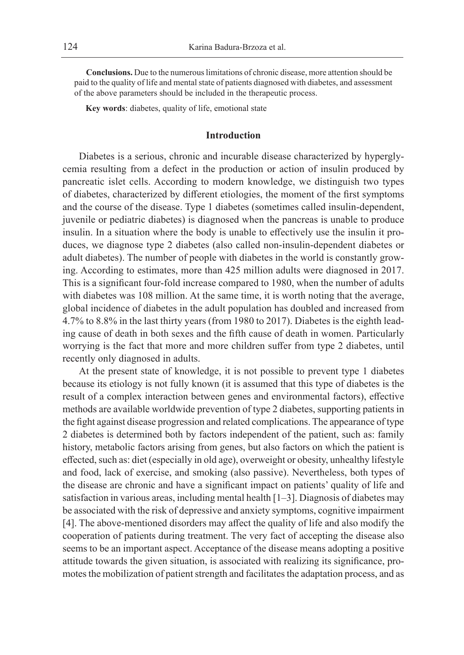**Conclusions.** Due to the numerous limitations of chronic disease, more attention should be paid to the quality of life and mental state of patients diagnosed with diabetes, and assessment of the above parameters should be included in the therapeutic process.

**Key words**: diabetes, quality of life, emotional state

### **Introduction**

Diabetes is a serious, chronic and incurable disease characterized by hyperglycemia resulting from a defect in the production or action of insulin produced by pancreatic islet cells. According to modern knowledge, we distinguish two types of diabetes, characterized by different etiologies, the moment of the first symptoms and the course of the disease. Type 1 diabetes (sometimes called insulin-dependent, juvenile or pediatric diabetes) is diagnosed when the pancreas is unable to produce insulin. In a situation where the body is unable to effectively use the insulin it produces, we diagnose type 2 diabetes (also called non-insulin-dependent diabetes or adult diabetes). The number of people with diabetes in the world is constantly growing. According to estimates, more than 425 million adults were diagnosed in 2017. This is a significant four-fold increase compared to 1980, when the number of adults with diabetes was 108 million. At the same time, it is worth noting that the average, global incidence of diabetes in the adult population has doubled and increased from 4.7% to 8.8% in the last thirty years (from 1980 to 2017). Diabetes is the eighth leading cause of death in both sexes and the fifth cause of death in women. Particularly worrying is the fact that more and more children suffer from type 2 diabetes, until recently only diagnosed in adults.

At the present state of knowledge, it is not possible to prevent type 1 diabetes because its etiology is not fully known (it is assumed that this type of diabetes is the result of a complex interaction between genes and environmental factors), effective methods are available worldwide prevention of type 2 diabetes, supporting patients in the fight against disease progression and related complications. The appearance of type 2 diabetes is determined both by factors independent of the patient, such as: family history, metabolic factors arising from genes, but also factors on which the patient is effected, such as: diet (especially in old age), overweight or obesity, unhealthy lifestyle and food, lack of exercise, and smoking (also passive). Nevertheless, both types of the disease are chronic and have a significant impact on patients' quality of life and satisfaction in various areas, including mental health [1–3]. Diagnosis of diabetes may be associated with the risk of depressive and anxiety symptoms, cognitive impairment [4]. The above-mentioned disorders may affect the quality of life and also modify the cooperation of patients during treatment. The very fact of accepting the disease also seems to be an important aspect. Acceptance of the disease means adopting a positive attitude towards the given situation, is associated with realizing its significance, promotes the mobilization of patient strength and facilitates the adaptation process, and as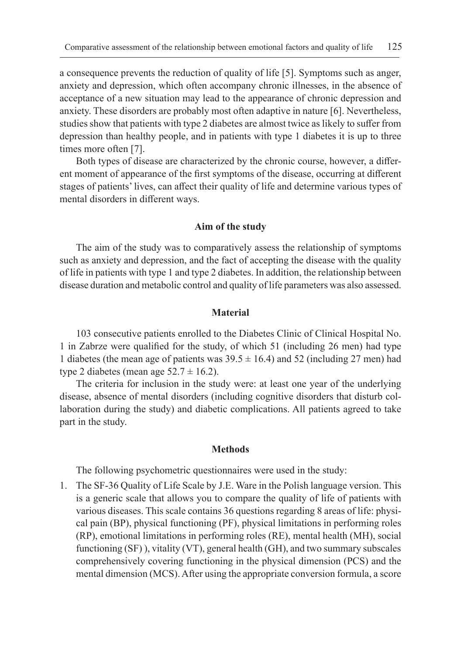a consequence prevents the reduction of quality of life [5]. Symptoms such as anger, anxiety and depression, which often accompany chronic illnesses, in the absence of acceptance of a new situation may lead to the appearance of chronic depression and anxiety. These disorders are probably most often adaptive in nature [6]. Nevertheless, studies show that patients with type 2 diabetes are almost twice as likely to suffer from depression than healthy people, and in patients with type 1 diabetes it is up to three times more often [7].

Both types of disease are characterized by the chronic course, however, a different moment of appearance of the first symptoms of the disease, occurring at different stages of patients' lives, can affect their quality of life and determine various types of mental disorders in different ways.

### **Aim of the study**

The aim of the study was to comparatively assess the relationship of symptoms such as anxiety and depression, and the fact of accepting the disease with the quality of life in patients with type 1 and type 2 diabetes. In addition, the relationship between disease duration and metabolic control and quality of life parameters was also assessed.

### **Material**

103 consecutive patients enrolled to the Diabetes Clinic of Clinical Hospital No. 1 in Zabrze were qualified for the study, of which 51 (including 26 men) had type 1 diabetes (the mean age of patients was  $39.5 \pm 16.4$ ) and 52 (including 27 men) had type 2 diabetes (mean age  $52.7 \pm 16.2$ ).

The criteria for inclusion in the study were: at least one year of the underlying disease, absence of mental disorders (including cognitive disorders that disturb collaboration during the study) and diabetic complications. All patients agreed to take part in the study.

#### **Methods**

The following psychometric questionnaires were used in the study:

1. The SF-36 Quality of Life Scale by J.E. Ware in the Polish language version. This is a generic scale that allows you to compare the quality of life of patients with various diseases. This scale contains 36 questions regarding 8 areas of life: physical pain (BP), physical functioning (PF), physical limitations in performing roles (RP), emotional limitations in performing roles (RE), mental health (MH), social functioning (SF) ), vitality (VT), general health (GH), and two summary subscales comprehensively covering functioning in the physical dimension (PCS) and the mental dimension (MCS). After using the appropriate conversion formula, a score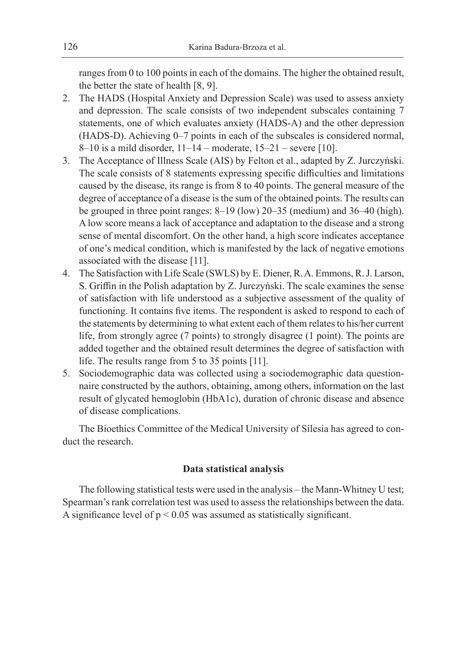ranges from 0 to 100 points in each of the domains. The higher the obtained result, the better the state of health [8, 9].

- 2. The HADS (Hospital Anxiety and Depression Scale) was used to assess anxiety and depression. The scale consists of two independent subscales containing 7 statements, one of which evaluates anxiety (HADS-A) and the other depression (HADS-D). Achieving 0–7 points in each of the subscales is considered normal, 8–10 is a mild disorder, 11–14 – moderate, 15–21 – severe [10].
- 3. The Acceptance of Illness Scale (AIS) by Felton et al., adapted by Z. Jurczyński. The scale consists of 8 statements expressing specific difficulties and limitations caused by the disease, its range is from 8 to 40 points. The general measure of the degree of acceptance of a disease is the sum of the obtained points. The results can be grouped in three point ranges: 8–19 (low) 20–35 (medium) and 36–40 (high). A low score means a lack of acceptance and adaptation to the disease and a strong sense of mental discomfort. On the other hand, a high score indicates acceptance of one's medical condition, which is manifested by the lack of negative emotions associated with the disease [11].
- 4. The Satisfaction with Life Scale (SWLS) by E. Diener, R. A. Emmons, R. J. Larson, S. Griffin in the Polish adaptation by Z. Jurczyński. The scale examines the sense of satisfaction with life understood as a subjective assessment of the quality of functioning. It contains five items. The respondent is asked to respond to each of the statements by determining to what extent each of them relates to his/her current life, from strongly agree (7 points) to strongly disagree (1 point). The points are added together and the obtained result determines the degree of satisfaction with life. The results range from 5 to 35 points [11].
- 5. Sociodemographic data was collected using a sociodemographic data questionnaire constructed by the authors, obtaining, among others, information on the last result of glycated hemoglobin (HbA1c), duration of chronic disease and absence of disease complications.

The Bioethics Committee of the Medical University of Silesia has agreed to conduct the research.

## **Data statistical analysis**

The following statistical tests were used in the analysis – the Mann-Whitney U test; Spearman's rank correlation test was used to assess the relationships between the data. A significance level of  $p < 0.05$  was assumed as statistically significant.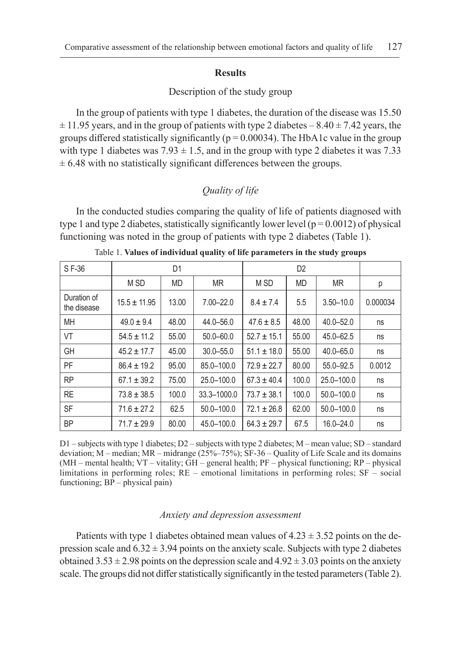#### **Results**

## Description of the study group

In the group of patients with type 1 diabetes, the duration of the disease was 15.50  $\pm$  11.95 years, and in the group of patients with type 2 diabetes – 8.40  $\pm$  7.42 years, the groups differed statistically significantly ( $p = 0.00034$ ). The HbA1c value in the group with type 1 diabetes was  $7.93 \pm 1.5$ , and in the group with type 2 diabetes it was 7.33  $\pm$  6.48 with no statistically significant differences between the groups.

# *Quality of life*

In the conducted studies comparing the quality of life of patients diagnosed with type 1 and type 2 diabetes, statistically significantly lower level ( $p = 0.0012$ ) of physical functioning was noted in the group of patients with type 2 diabetes (Table 1).

| SF-36                      | D1               |           |                | D <sub>2</sub>  |           |                |          |
|----------------------------|------------------|-----------|----------------|-----------------|-----------|----------------|----------|
|                            | M <sub>SD</sub>  | <b>MD</b> | <b>MR</b>      | M <sub>SD</sub> | <b>MD</b> | <b>MR</b>      | р        |
| Duration of<br>the disease | $15.5 \pm 11.95$ | 13.00     | $7.00 - 22.0$  | $8.4 \pm 7.4$   | 5.5       | $3.50 - 10.0$  | 0.000034 |
| <b>MH</b>                  | $49.0 \pm 9.4$   | 48.00     | $44.0 - 56.0$  | $47.6 \pm 8.5$  | 48.00     | 40.0 - 52.0    | ns       |
| VT                         | $54.5 \pm 11.2$  | 55.00     | $50.0 - 60.0$  | $52.7 \pm 15.1$ | 55.00     | 45.0-62.5      | ns       |
| <b>GH</b>                  | $45.2 \pm 17.7$  | 45.00     | $30.0 - 55.0$  | $51.1 \pm 18.0$ | 55.00     | 40.0 - 65.0    | ns       |
| PF                         | $86.4 \pm 19.2$  | 95.00     | 85.0-100.0     | $72.9 \pm 22.7$ | 80.00     | 55.0-92.5      | 0.0012   |
| <b>RP</b>                  | $67.1 \pm 39.2$  | 75.00     | 25.0-100.0     | $67.3 \pm 40.4$ | 100.0     | 25.0-100.0     | ns       |
| <b>RE</b>                  | $73.8 \pm 38.5$  | 100.0     | 33.3-1000.0    | $73.7 \pm 38.1$ | 100.0     | $50.0 - 100.0$ | ns       |
| <b>SF</b>                  | $71.6 \pm 27.2$  | 62.5      | $50.0 - 100.0$ | $72.1 \pm 26.8$ | 62.00     | $50.0 - 100.0$ | ns       |
| <b>BP</b>                  | $71.7 \pm 29.9$  | 80.00     | 45.0-100.0     | $64.3 \pm 29.7$ | 67.5      | $16.0 - 24.0$  | ns       |

Table 1. **Values of individual quality of life parameters in the study groups**

D1 – subjects with type 1 diabetes; D2 – subjects with type 2 diabetes; M – mean value; SD – standard deviation; M – median; MR – midrange (25%–75%); SF-36 – Quality of Life Scale and its domains (MH – mental health; VT – vitality; GH – general health; PF – physical functioning; RP – physical limitations in performing roles; RE – emotional limitations in performing roles; SF – social functioning; BP – physical pain)

### *Anxiety and depression assessment*

Patients with type 1 diabetes obtained mean values of  $4.23 \pm 3.52$  points on the depression scale and  $6.32 \pm 3.94$  points on the anxiety scale. Subjects with type 2 diabetes obtained  $3.53 \pm 2.98$  points on the depression scale and  $4.92 \pm 3.03$  points on the anxiety scale. The groups did not differ statistically significantly in the tested parameters (Table 2).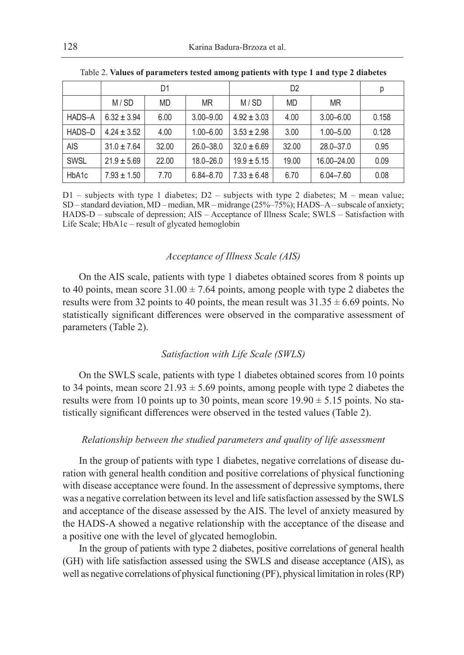|             | D1              |           |               |                 | р         |               |       |
|-------------|-----------------|-----------|---------------|-----------------|-----------|---------------|-------|
|             | M/SD            | <b>MD</b> | <b>MR</b>     | M/SD            | <b>MD</b> | <b>MR</b>     |       |
| HADS-A      | $6.32 \pm 3.94$ | 6.00      | $3.00 - 9.00$ | $4.92 \pm 3.03$ | 4.00      | $3.00 - 6.00$ | 0.158 |
| HADS-D      | $4.24 \pm 3.52$ | 4.00      | $1.00 - 6.00$ | $3.53 \pm 2.98$ | 3.00      | $1.00 - 5.00$ | 0.128 |
| <b>AIS</b>  | $31.0 \pm 7.64$ | 32.00     | $26.0 - 38.0$ | $32.0 \pm 6.69$ | 32.00     | $28.0 - 37.0$ | 0.95  |
| <b>SWSL</b> | $21.9 \pm 5.69$ | 22.00     | $18.0 - 26.0$ | $19.9 \pm 5.15$ | 19.00     | 16.00-24.00   | 0.09  |
| HbA1c       | $7.93 \pm 1.50$ | 7.70      | $6.84 - 8.70$ | $7.33 \pm 6.48$ | 6.70      | $6.04 - 7.60$ | 0.08  |

 $D1$  – subjects with type 1 diabetes;  $D2$  – subjects with type 2 diabetes; M – mean value; SD – standard deviation, MD – median, MR – midrange (25%–75%); HADS–A – subscale of anxiety; HADS-D – subscale of depression; AIS – Acceptance of Illness Scale; SWLS – Satisfaction with Life Scale; HbA1c – result of glycated hemoglobin

### *Acceptance of Illness Scale (AIS)*

On the AIS scale, patients with type 1 diabetes obtained scores from 8 points up to 40 points, mean score  $31.00 \pm 7.64$  points, among people with type 2 diabetes the results were from 32 points to 40 points, the mean result was  $31.35 \pm 6.69$  points. No statistically significant differences were observed in the comparative assessment of parameters (Table 2).

### *Satisfaction with Life Scale (SWLS)*

On the SWLS scale, patients with type 1 diabetes obtained scores from 10 points to 34 points, mean score  $21.93 \pm 5.69$  points, among people with type 2 diabetes the results were from 10 points up to 30 points, mean score  $19.90 \pm 5.15$  points. No statistically significant differences were observed in the tested values (Table 2).

### *Relationship between the studied parameters and quality of life assessment*

In the group of patients with type 1 diabetes, negative correlations of disease duration with general health condition and positive correlations of physical functioning with disease acceptance were found. In the assessment of depressive symptoms, there was a negative correlation between its level and life satisfaction assessed by the SWLS and acceptance of the disease assessed by the AIS. The level of anxiety measured by the HADS-A showed a negative relationship with the acceptance of the disease and a positive one with the level of glycated hemoglobin.

In the group of patients with type 2 diabetes, positive correlations of general health (GH) with life satisfaction assessed using the SWLS and disease acceptance (AIS), as well as negative correlations of physical functioning (PF), physical limitation in roles (RP)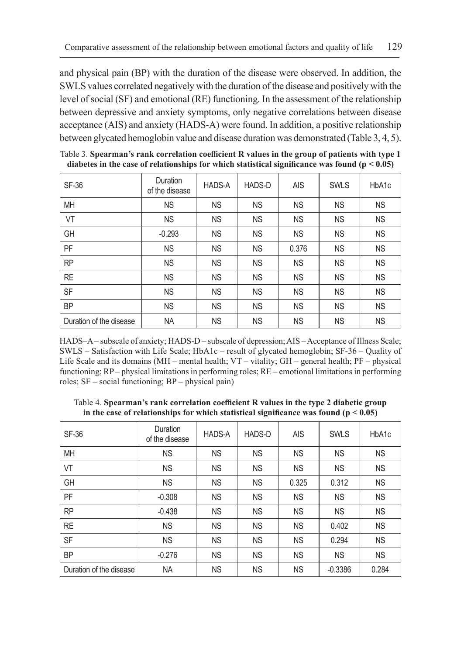and physical pain (BP) with the duration of the disease were observed. In addition, the SWLS values correlated negatively with the duration of the disease and positively with the level of social (SF) and emotional (RE) functioning. In the assessment of the relationship between depressive and anxiety symptoms, only negative correlations between disease acceptance (AIS) and anxiety (HADS-A) were found. In addition, a positive relationship between glycated hemoglobin value and disease duration was demonstrated (Table 3, 4, 5).

| <b>SF-36</b>            | Duration<br>of the disease | <b>HADS-A</b> | <b>HADS-D</b> | <b>AIS</b> | <b>SWLS</b> | HbA1c     |
|-------------------------|----------------------------|---------------|---------------|------------|-------------|-----------|
| <b>MH</b>               | <b>NS</b>                  | <b>NS</b>     | <b>NS</b>     | <b>NS</b>  | <b>NS</b>   | <b>NS</b> |
| VT                      | <b>NS</b>                  | <b>NS</b>     | <b>NS</b>     | <b>NS</b>  | <b>NS</b>   | <b>NS</b> |
| GH                      | $-0.293$                   | <b>NS</b>     | <b>NS</b>     | <b>NS</b>  | <b>NS</b>   | <b>NS</b> |
| PF                      | <b>NS</b>                  | <b>NS</b>     | <b>NS</b>     | 0.376      | <b>NS</b>   | <b>NS</b> |
| <b>RP</b>               | <b>NS</b>                  | <b>NS</b>     | <b>NS</b>     | <b>NS</b>  | <b>NS</b>   | <b>NS</b> |
| <b>RE</b>               | <b>NS</b>                  | <b>NS</b>     | <b>NS</b>     | <b>NS</b>  | <b>NS</b>   | <b>NS</b> |
| <b>SF</b>               | <b>NS</b>                  | <b>NS</b>     | <b>NS</b>     | <b>NS</b>  | <b>NS</b>   | <b>NS</b> |
| <b>BP</b>               | <b>NS</b>                  | <b>NS</b>     | <b>NS</b>     | <b>NS</b>  | <b>NS</b>   | <b>NS</b> |
| Duration of the disease | NA                         | <b>NS</b>     | <b>NS</b>     | <b>NS</b>  | <b>NS</b>   | <b>NS</b> |

Table 3. **Spearman's rank correlation coefficient R values in the group of patients with type 1 diabetes in the case of relationships for which statistical significance was found (p < 0.05)**

HADS–A – subscale of anxiety; HADS-D – subscale of depression; AIS – Acceptance of Illness Scale; SWLS – Satisfaction with Life Scale; HbA1c – result of glycated hemoglobin; SF-36 – Quality of Life Scale and its domains (MH – mental health; VT – vitality; GH – general health; PF – physical functioning; RP – physical limitations in performing roles; RE – emotional limitations in performing roles; SF – social functioning; BP – physical pain)

Table 4. **Spearman's rank correlation coefficient R values in the type 2 diabetic group in the case of relationships for which statistical significance was found (p < 0.05)**

| <b>SF-36</b>            | Duration<br>of the disease | <b>HADS-A</b> | HADS-D    | <b>AIS</b> | <b>SWLS</b> | HbA1c     |
|-------------------------|----------------------------|---------------|-----------|------------|-------------|-----------|
| <b>MH</b>               | <b>NS</b>                  | <b>NS</b>     | <b>NS</b> | ΝS         | <b>NS</b>   | ΝS        |
| VT                      | <b>NS</b>                  | <b>NS</b>     | <b>NS</b> | ΝS         | <b>NS</b>   | <b>NS</b> |
| GH                      | <b>NS</b>                  | <b>NS</b>     | <b>NS</b> | 0.325      | 0.312       | <b>NS</b> |
| PF                      | $-0.308$                   | <b>NS</b>     | <b>NS</b> | ΝS         | <b>NS</b>   | <b>NS</b> |
| <b>RP</b>               | $-0.438$                   | <b>NS</b>     | <b>NS</b> | <b>NS</b>  | <b>NS</b>   | <b>NS</b> |
| <b>RE</b>               | <b>NS</b>                  | <b>NS</b>     | <b>NS</b> | <b>NS</b>  | 0.402       | <b>NS</b> |
| SF                      | <b>NS</b>                  | <b>NS</b>     | <b>NS</b> | <b>NS</b>  | 0.294       | <b>NS</b> |
| <b>BP</b>               | $-0.276$                   | <b>NS</b>     | <b>NS</b> | <b>NS</b>  | <b>NS</b>   | <b>NS</b> |
| Duration of the disease | <b>NA</b>                  | <b>NS</b>     | <b>NS</b> | <b>NS</b>  | $-0.3386$   | 0.284     |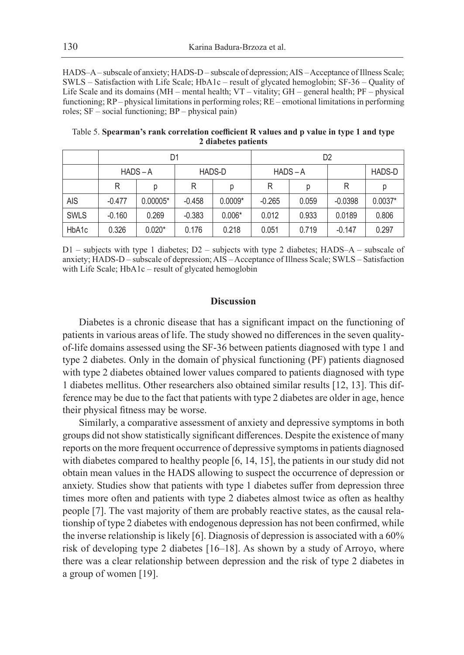HADS–A – subscale of anxiety; HADS-D – subscale of depression; AIS – Acceptance of Illness Scale; SWLS – Satisfaction with Life Scale; HbA1c – result of glycated hemoglobin; SF-36 – Quality of Life Scale and its domains (MH – mental health; VT – vitality; GH – general health; PF – physical functioning; RP – physical limitations in performing roles; RE – emotional limitations in performing roles; SF – social functioning; BP – physical pain)

|             |            | D1         |               |           | D <sub>2</sub> |       |           |               |
|-------------|------------|------------|---------------|-----------|----------------|-------|-----------|---------------|
|             | $HADS - A$ |            | <b>HADS-D</b> |           | $HADS - A$     |       |           | <b>HADS-D</b> |
|             | R          | р          | R             | D         | R              | р     | R         | р             |
| <b>AIS</b>  | $-0.477$   | $0.00005*$ | $-0.458$      | $0.0009*$ | $-0.265$       | 0.059 | $-0.0398$ | $0.0037*$     |
| <b>SWLS</b> | $-0.160$   | 0.269      | $-0.383$      | $0.006*$  | 0.012          | 0.933 | 0.0189    | 0.806         |
| HbA1c       | 0.326      | $0.020*$   | 0.176         | 0.218     | 0.051          | 0.719 | $-0.147$  | 0.297         |

Table 5. **Spearman's rank correlation coefficient R values and p value in type 1 and type 2 diabetes patients**

D1 – subjects with type 1 diabetes; D2 – subjects with type 2 diabetes; HADS–A – subscale of anxiety; HADS-D – subscale of depression; AIS – Acceptance of Illness Scale; SWLS – Satisfaction with Life Scale; HbA1c – result of glycated hemoglobin

### **Discussion**

Diabetes is a chronic disease that has a significant impact on the functioning of patients in various areas of life. The study showed no differences in the seven qualityof-life domains assessed using the SF-36 between patients diagnosed with type 1 and type 2 diabetes. Only in the domain of physical functioning (PF) patients diagnosed with type 2 diabetes obtained lower values compared to patients diagnosed with type 1 diabetes mellitus. Other researchers also obtained similar results [12, 13]. This difference may be due to the fact that patients with type 2 diabetes are older in age, hence their physical fitness may be worse.

Similarly, a comparative assessment of anxiety and depressive symptoms in both groups did not show statistically significant differences. Despite the existence of many reports on the more frequent occurrence of depressive symptoms in patients diagnosed with diabetes compared to healthy people [6, 14, 15], the patients in our study did not obtain mean values in the HADS allowing to suspect the occurrence of depression or anxiety. Studies show that patients with type 1 diabetes suffer from depression three times more often and patients with type 2 diabetes almost twice as often as healthy people [7]. The vast majority of them are probably reactive states, as the causal relationship of type 2 diabetes with endogenous depression has not been confirmed, while the inverse relationship is likely [6]. Diagnosis of depression is associated with a 60% risk of developing type 2 diabetes [16–18]. As shown by a study of Arroyo, where there was a clear relationship between depression and the risk of type 2 diabetes in a group of women [19].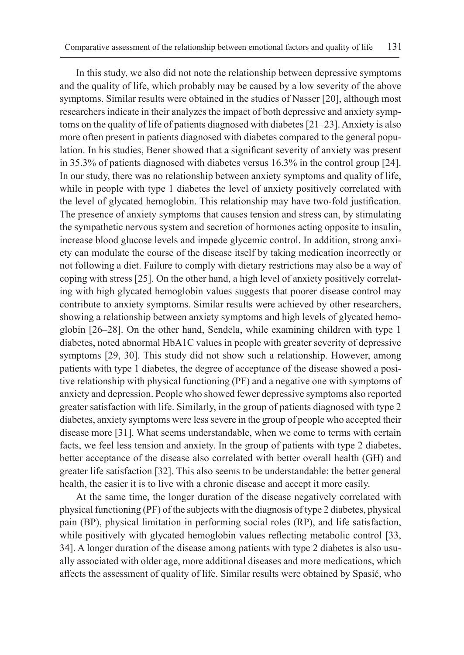In this study, we also did not note the relationship between depressive symptoms and the quality of life, which probably may be caused by a low severity of the above symptoms. Similar results were obtained in the studies of Nasser [20], although most researchers indicate in their analyzes the impact of both depressive and anxiety symptoms on the quality of life of patients diagnosed with diabetes [21–23]. Anxiety is also more often present in patients diagnosed with diabetes compared to the general population. In his studies, Bener showed that a significant severity of anxiety was present in 35.3% of patients diagnosed with diabetes versus 16.3% in the control group [24]. In our study, there was no relationship between anxiety symptoms and quality of life, while in people with type 1 diabetes the level of anxiety positively correlated with the level of glycated hemoglobin. This relationship may have two-fold justification. The presence of anxiety symptoms that causes tension and stress can, by stimulating the sympathetic nervous system and secretion of hormones acting opposite to insulin, increase blood glucose levels and impede glycemic control. In addition, strong anxiety can modulate the course of the disease itself by taking medication incorrectly or not following a diet. Failure to comply with dietary restrictions may also be a way of coping with stress [25]. On the other hand, a high level of anxiety positively correlating with high glycated hemoglobin values suggests that poorer disease control may contribute to anxiety symptoms. Similar results were achieved by other researchers, showing a relationship between anxiety symptoms and high levels of glycated hemoglobin [26–28]. On the other hand, Sendela, while examining children with type 1 diabetes, noted abnormal HbA1C values in people with greater severity of depressive symptoms [29, 30]. This study did not show such a relationship. However, among patients with type 1 diabetes, the degree of acceptance of the disease showed a positive relationship with physical functioning (PF) and a negative one with symptoms of anxiety and depression. People who showed fewer depressive symptoms also reported greater satisfaction with life. Similarly, in the group of patients diagnosed with type 2 diabetes, anxiety symptoms were less severe in the group of people who accepted their disease more [31]. What seems understandable, when we come to terms with certain facts, we feel less tension and anxiety. In the group of patients with type 2 diabetes, better acceptance of the disease also correlated with better overall health (GH) and greater life satisfaction [32]. This also seems to be understandable: the better general health, the easier it is to live with a chronic disease and accept it more easily.

At the same time, the longer duration of the disease negatively correlated with physical functioning (PF) of the subjects with the diagnosis of type 2 diabetes, physical pain (BP), physical limitation in performing social roles (RP), and life satisfaction, while positively with glycated hemoglobin values reflecting metabolic control [33, 34]. A longer duration of the disease among patients with type 2 diabetes is also usually associated with older age, more additional diseases and more medications, which affects the assessment of quality of life. Similar results were obtained by Spasić, who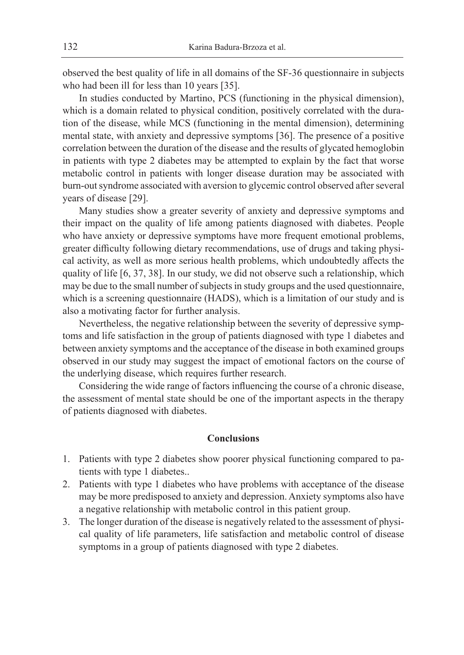observed the best quality of life in all domains of the SF-36 questionnaire in subjects who had been ill for less than 10 years [35].

In studies conducted by Martino, PCS (functioning in the physical dimension), which is a domain related to physical condition, positively correlated with the duration of the disease, while MCS (functioning in the mental dimension), determining mental state, with anxiety and depressive symptoms [36]. The presence of a positive correlation between the duration of the disease and the results of glycated hemoglobin in patients with type 2 diabetes may be attempted to explain by the fact that worse metabolic control in patients with longer disease duration may be associated with burn-out syndrome associated with aversion to glycemic control observed after several years of disease [29].

Many studies show a greater severity of anxiety and depressive symptoms and their impact on the quality of life among patients diagnosed with diabetes. People who have anxiety or depressive symptoms have more frequent emotional problems, greater difficulty following dietary recommendations, use of drugs and taking physical activity, as well as more serious health problems, which undoubtedly affects the quality of life [6, 37, 38]. In our study, we did not observe such a relationship, which may be due to the small number of subjects in study groups and the used questionnaire, which is a screening questionnaire (HADS), which is a limitation of our study and is also a motivating factor for further analysis.

Nevertheless, the negative relationship between the severity of depressive symptoms and life satisfaction in the group of patients diagnosed with type 1 diabetes and between anxiety symptoms and the acceptance of the disease in both examined groups observed in our study may suggest the impact of emotional factors on the course of the underlying disease, which requires further research.

Considering the wide range of factors influencing the course of a chronic disease, the assessment of mental state should be one of the important aspects in the therapy of patients diagnosed with diabetes.

#### **Conclusions**

- 1. Patients with type 2 diabetes show poorer physical functioning compared to patients with type 1 diabetes..
- 2. Patients with type 1 diabetes who have problems with acceptance of the disease may be more predisposed to anxiety and depression. Anxiety symptoms also have a negative relationship with metabolic control in this patient group.
- 3. The longer duration of the disease is negatively related to the assessment of physical quality of life parameters, life satisfaction and metabolic control of disease symptoms in a group of patients diagnosed with type 2 diabetes.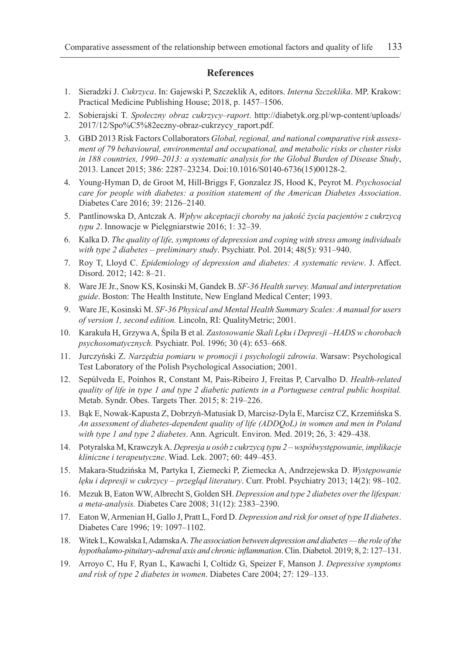#### **References**

- 1. Sieradzki J. *Cukrzyca*. In: Gajewski P, Szczeklik A, editors. *Interna Szczeklika*. MP. Krakow: Practical Medicine Publishing House; 2018, p. 1457–1506.
- 2. Sobierajski T. *Społeczny obraz cukrzycy–raport*. http://diabetyk.org.pl/wp-content/uploads/ 2017/12/Spo%C5%82eczny-obraz-cukrzycy\_raport.pdf.
- 3. GBD 2013 Risk Factors Collaborators *Global, regional, and national comparative risk assessment of 79 behavioural, environmental and occupational, and metabolic risks or cluster risks in 188 countries, 1990–2013: a systematic analysis for the Global Burden of Disease Study*, 2013. Lancet 2015; 386: 2287–23234. Doi:10.1016/S0140-6736(15)00128-2.
- 4. Young-Hyman D, de Groot M, Hill-Briggs F, Gonzalez JS, Hood K, Peyrot M. *Psychosocial care for people with diabetes: a position statement of the American Diabetes Association*. Diabetes Care 2016; 39: 2126–2140.
- 5. Pantlinowska D, Antczak A. *Wpływ akceptacji choroby na jakość życia pacjentów z cukrzycą typu 2*. Innowacje w Pielęgniarstwie 2016; 1: 32–39.
- 6. Kalka D. *The quality of life, symptoms of depression and coping with stress among individuals with type 2 diabetes – preliminary study*. Psychiatr. Pol. 2014; 48(5): 931–940.
- 7. Roy T, Lloyd C. *Epidemiology of depression and diabetes: A systematic review*. J. Affect. Disord. 2012; 142: 8–21.
- 8. Ware JE Jr., Snow KS, Kosinski M, Gandek B. *SF-36 Health survey. Manual and interpretation guide*. Boston: The Health Institute, New England Medical Center; 1993.
- 9. Ware JE, Kosinski M. *SF-36 Physical and Mental Health Summary Scales: A manual for users of version 1, second edition.* Lincoln, RI: QualityMetric; 2001.
- 10. Karakuła H, Grzywa A, Śpila B et al. *Zastosowanie Skali Lęku i Depresji –HADS w chorobach psychosomatycznych.* Psychiatr. Pol. 1996; 30 (4): 653–668.
- 11. Jurczyński Z. *Narzędzia pomiaru w promocji i psychologii zdrowia*. Warsaw: Psychological Test Laboratory of the Polish Psychological Association; 2001.
- 12. Sepúlveda E, Poínhos R, Constant M, Pais-Ribeiro J, Freitas P, Carvalho D. *Health-related quality of life in type 1 and type 2 diabetic patients in a Portuguese central public hospital.*  Metab. Syndr. Obes. Targets Ther. 2015; 8: 219–226.
- 13. Bąk E, Nowak-Kapusta Z, Dobrzyń-Matusiak D, Marcisz-Dyla E, Marcisz CZ, Krzemińska S. *An assessment of diabetes-dependent quality of life (ADDQoL) in women and men in Poland with type 1 and type 2 diabetes*. Ann. Agricult. Environ. Med. 2019; 26, 3: 429–438.
- 14. Potyralska M, Krawczyk A. *Depresja u osób z cukrzycą typu 2 współwystępowanie, implikacje kliniczne i terapeutyczne*. Wiad. Lek. 2007; 60: 449–453.
- 15. Makara-Studzińska M, Partyka I, Ziemecki P, Ziemecka A, Andrzejewska D. *Występowanie lęku i depresji w cukrzycy – przegląd literatury*. Curr. Probl. Psychiatry 2013; 14(2): 98–102.
- 16. Mezuk B, Eaton WW, Albrecht S, Golden SH. *Depression and type 2 diabetes over the lifespan: a meta-analysis.* Diabetes Care 2008; 31(12): 2383–2390.
- 17. Eaton W, Armenian H, Gallo J, Pratt L, Ford D. *Depression and risk for onset of type II diabetes*. Diabetes Care 1996; 19: 1097–1102.
- 18. Witek L, Kowalska I, Adamska A. *The association between depression and diabetes the role of the hypothalamo-pituitary-adrenal axis and chronic inflammation*. Clin. Diabetol. 2019; 8, 2: 127–131.
- 19. Arroyo C, Hu F, Ryan L, Kawachi I, Coltidz G, Speizer F, Manson J. *Depressive symptoms and risk of type 2 diabetes in women*. Diabetes Care 2004; 27: 129–133.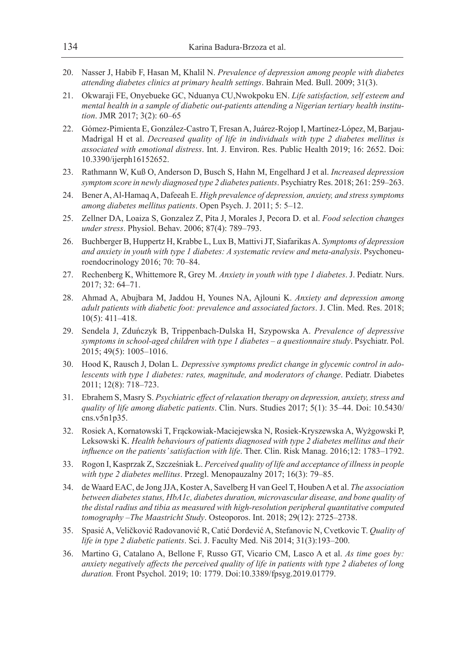- 20. Nasser J, Habib F, Hasan M, Khalil N. *Prevalence of depression among people with diabetes attending diabetes clinics at primary health settings*. Bahrain Med. Bull. 2009; 31(3).
- 21. Okwaraji FE, Onyebueke GC, Nduanya CU,Nwokpoku EN. *Life satisfaction, self esteem and mental health in a sample of diabetic out-patients attending a Nigerian tertiary health institution*. JMR 2017; 3(2): 60–65
- 22. Gómez-Pimienta E, González-Castro T, Fresan A, Juárez-Rojop I, Martínez-López, M, Barjau-Madrigal H et al. *Decreased quality of life in individuals with type 2 diabetes mellitus is associated with emotional distress*. Int. J. Environ. Res. Public Health 2019; 16: 2652. Doi: 10.3390/ijerph16152652.
- 23. Rathmann W, Kuß O, Anderson D, Busch S, Hahn M, Engelhard J et al. *Increased depression symptom score in newly diagnosed type 2 diabetes patients*. Psychiatry Res. 2018; 261: 259–263.
- 24. Bener A, Al-Hamaq A, Dafeeah E. *High prevalence of depression, anxiety, and stress symptoms among diabetes mellitus patients*. Open Psych. J. 2011; 5: 5–12.
- 25. Zellner DA, Loaiza S, Gonzalez Z, Pita J, Morales J, Pecora D. et al. *Food selection changes under stress*. Physiol. Behav. 2006; 87(4): 789–793.
- 26. Buchberger B, Huppertz H, Krabbe L, Lux B, Mattivi JT, Siafarikas A. *Symptoms of depression and anxiety in youth with type 1 diabetes: A systematic review and meta-analysis*. Psychoneuroendocrinology 2016; 70: 70–84.
- 27. Rechenberg K, Whittemore R, Grey M. *Anxiety in youth with type 1 diabetes*. J. Pediatr. Nurs. 2017; 32: 64–71.
- 28. Ahmad A, Abujbara M, Jaddou H, Younes NA, Ajlouni K. *Anxiety and depression among adult patients with diabetic foot: prevalence and associated factors*. J. Clin. Med. Res. 2018; 10(5): 411–418.
- 29. Sendela J, Zduńczyk B, Trippenbach-Dulska H, Szypowska A. *Prevalence of depressive symptoms in school-aged children with type 1 diabetes – a questionnaire study*. Psychiatr. Pol. 2015; 49(5): 1005–1016.
- 30. Hood K, Rausch J, Dolan L*. Depressive symptoms predict change in glycemic control in adolescents with type 1 diabetes: rates, magnitude, and moderators of change*. Pediatr. Diabetes 2011; 12(8): 718–723.
- 31. Ebrahem S, Masry S. *Psychiatric effect of relaxation therapy on depression, anxiety, stress and quality of life among diabetic patients*. Clin. Nurs. Studies 2017; 5(1): 35–44. Doi: 10.5430/ cns.v5n1p35.
- 32. Rosiek A, Kornatowski T, Frąckowiak-Maciejewska N, Rosiek-Kryszewska A, Wyżgowski P, Leksowski K. *Health behaviours of patients diagnosed with type 2 diabetes mellitus and their influence on the patients' satisfaction with life*. Ther. Clin. Risk Manag. 2016;12: 1783–1792.
- 33. Rogon I, Kasprzak Z, Szcześniak Ł. *Perceived quality of life and acceptance of illness in people with type 2 diabetes mellitus*. Przegl. Menopauzalny 2017; 16(3): 79–85.
- 34. de Waard EAC, de Jong JJA, Koster A, Savelberg H van Geel T, Houben A et al. *The association between diabetes status, HbA1c, diabetes duration, microvascular disease, and bone quality of the distal radius and tibia as measured with high-resolution peripheral quantitative computed tomography –The Maastricht Study*. Osteoporos. Int. 2018; 29(12): 2725–2738.
- 35. Spasić A, Veličković Radovanović R, Catić Dordević A, Stefanovic N, Cvetkovic T. *Quality of life in type 2 diabetic patients*. Sci. J. Faculty Med. Niš 2014; 31(3):193–200.
- 36. Martino G, Catalano A, Bellone F, Russo GT, Vicario CM, Lasco A et al. *As time goes by: anxiety negatively affects the perceived quality of life in patients with type 2 diabetes of long duration.* Front Psychol. 2019; 10: 1779. Doi:10.3389/fpsyg.2019.01779.